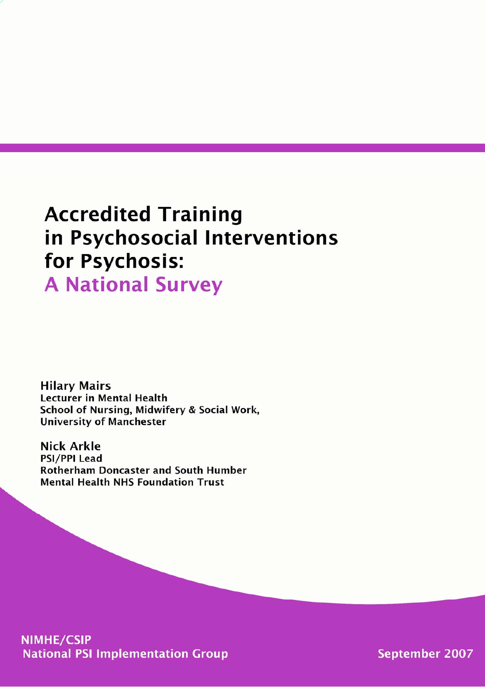# **Accredited Training** in Psychosocial Interventions for Psychosis:

**A National Survey** 

**Hilary Mairs Lecturer in Mental Health** School of Nursing, Midwifery & Social Work, **University of Manchester** 

**Nick Arkle PSI/PPI Lead Rotherham Doncaster and South Humber Mental Health NHS Foundation Trust** 

**NIMHE/CSIP National PSI Implementation Group** 

**September 2007**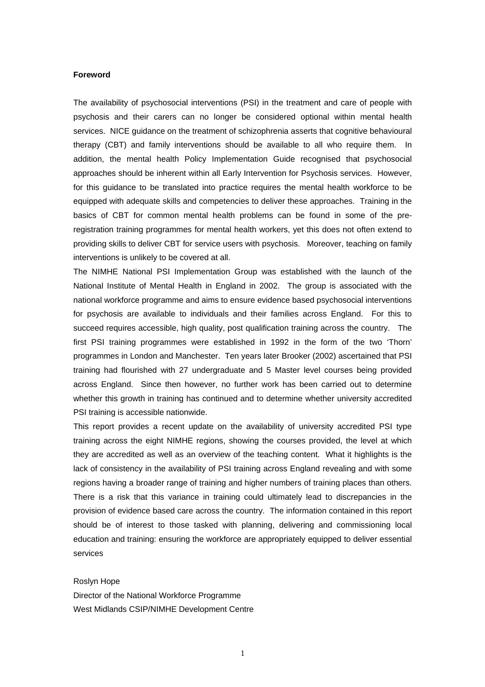#### **Foreword**

The availability of psychosocial interventions (PSI) in the treatment and care of people with psychosis and their carers can no longer be considered optional within mental health services. NICE guidance on the treatment of schizophrenia asserts that cognitive behavioural therapy (CBT) and family interventions should be available to all who require them. In addition, the mental health Policy Implementation Guide recognised that psychosocial approaches should be inherent within all Early Intervention for Psychosis services. However, for this guidance to be translated into practice requires the mental health workforce to be equipped with adequate skills and competencies to deliver these approaches. Training in the basics of CBT for common mental health problems can be found in some of the preregistration training programmes for mental health workers, yet this does not often extend to providing skills to deliver CBT for service users with psychosis. Moreover, teaching on family interventions is unlikely to be covered at all.

The NIMHE National PSI Implementation Group was established with the launch of the National Institute of Mental Health in England in 2002. The group is associated with the national workforce programme and aims to ensure evidence based psychosocial interventions for psychosis are available to individuals and their families across England. For this to succeed requires accessible, high quality, post qualification training across the country. The first PSI training programmes were established in 1992 in the form of the two 'Thorn' programmes in London and Manchester. Ten years later Brooker (2002) ascertained that PSI training had flourished with 27 undergraduate and 5 Master level courses being provided across England. Since then however, no further work has been carried out to determine whether this growth in training has continued and to determine whether university accredited PSI training is accessible nationwide.

This report provides a recent update on the availability of university accredited PSI type training across the eight NIMHE regions, showing the courses provided, the level at which they are accredited as well as an overview of the teaching content. What it highlights is the lack of consistency in the availability of PSI training across England revealing and with some regions having a broader range of training and higher numbers of training places than others. There is a risk that this variance in training could ultimately lead to discrepancies in the provision of evidence based care across the country. The information contained in this report should be of interest to those tasked with planning, delivering and commissioning local education and training: ensuring the workforce are appropriately equipped to deliver essential services

Roslyn Hope

Director of the National Workforce Programme West Midlands CSIP/NIMHE Development Centre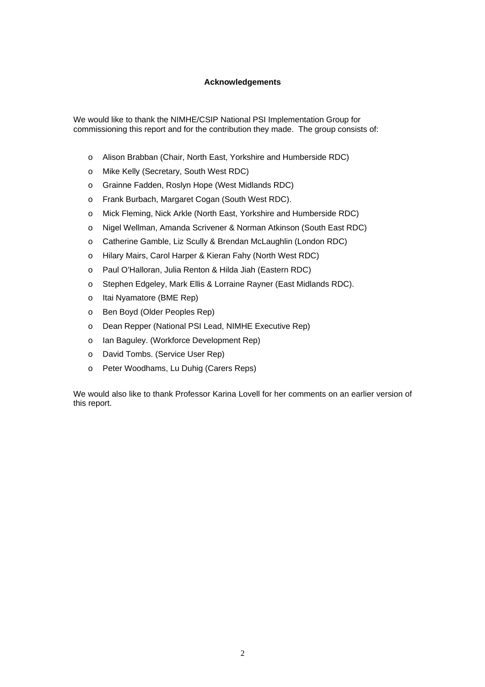# **Acknowledgements**

We would like to thank the NIMHE/CSIP National PSI Implementation Group for commissioning this report and for the contribution they made. The group consists of:

- o Alison Brabban (Chair, North East, Yorkshire and Humberside RDC)
- o Mike Kelly (Secretary, South West RDC)
- o Grainne Fadden, Roslyn Hope (West Midlands RDC)
- o Frank Burbach, Margaret Cogan (South West RDC).
- o Mick Fleming, Nick Arkle (North East, Yorkshire and Humberside RDC)
- o Nigel Wellman, Amanda Scrivener & Norman Atkinson (South East RDC)
- o Catherine Gamble, Liz Scully & Brendan McLaughlin (London RDC)
- o Hilary Mairs, Carol Harper & Kieran Fahy (North West RDC)
- o Paul O'Halloran, Julia Renton & Hilda Jiah (Eastern RDC)
- o Stephen Edgeley, Mark Ellis & Lorraine Rayner (East Midlands RDC).
- o Itai Nyamatore (BME Rep)
- o Ben Boyd (Older Peoples Rep)
- o Dean Repper (National PSI Lead, NIMHE Executive Rep)
- o Ian Baguley. (Workforce Development Rep)
- o David Tombs. (Service User Rep)
- o Peter Woodhams, Lu Duhig (Carers Reps)

We would also like to thank Professor Karina Lovell for her comments on an earlier version of this report.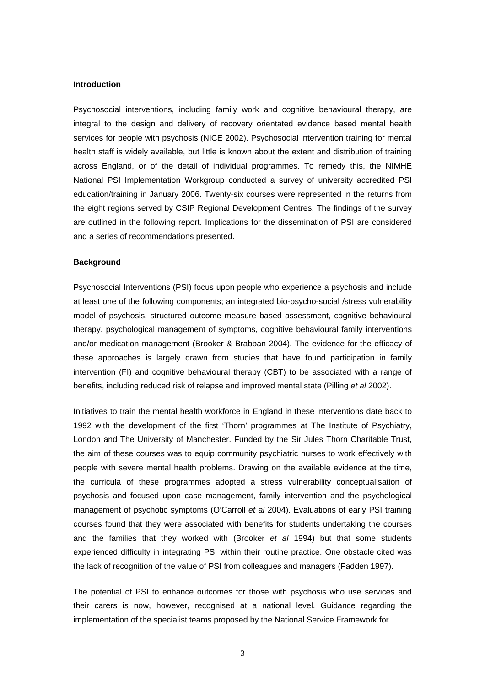## **Introduction**

Psychosocial interventions, including family work and cognitive behavioural therapy, are integral to the design and delivery of recovery orientated evidence based mental health services for people with psychosis (NICE 2002). Psychosocial intervention training for mental health staff is widely available, but little is known about the extent and distribution of training across England, or of the detail of individual programmes. To remedy this, the NIMHE National PSI Implementation Workgroup conducted a survey of university accredited PSI education/training in January 2006. Twenty-six courses were represented in the returns from the eight regions served by CSIP Regional Development Centres. The findings of the survey are outlined in the following report. Implications for the dissemination of PSI are considered and a series of recommendations presented.

#### **Background**

Psychosocial Interventions (PSI) focus upon people who experience a psychosis and include at least one of the following components; an integrated bio-psycho-social /stress vulnerability model of psychosis, structured outcome measure based assessment, cognitive behavioural therapy, psychological management of symptoms, cognitive behavioural family interventions and/or medication management (Brooker & Brabban 2004). The evidence for the efficacy of these approaches is largely drawn from studies that have found participation in family intervention (FI) and cognitive behavioural therapy (CBT) to be associated with a range of benefits, including reduced risk of relapse and improved mental state (Pilling *et al* 2002).

Initiatives to train the mental health workforce in England in these interventions date back to 1992 with the development of the first 'Thorn' programmes at The Institute of Psychiatry, London and The University of Manchester. Funded by the Sir Jules Thorn Charitable Trust, the aim of these courses was to equip community psychiatric nurses to work effectively with people with severe mental health problems. Drawing on the available evidence at the time, the curricula of these programmes adopted a stress vulnerability conceptualisation of psychosis and focused upon case management, family intervention and the psychological management of psychotic symptoms (O'Carroll *et al* 2004). Evaluations of early PSI training courses found that they were associated with benefits for students undertaking the courses and the families that they worked with (Brooker *et al* 1994) but that some students experienced difficulty in integrating PSI within their routine practice. One obstacle cited was the lack of recognition of the value of PSI from colleagues and managers (Fadden 1997).

The potential of PSI to enhance outcomes for those with psychosis who use services and their carers is now, however, recognised at a national level. Guidance regarding the implementation of the specialist teams proposed by the National Service Framework for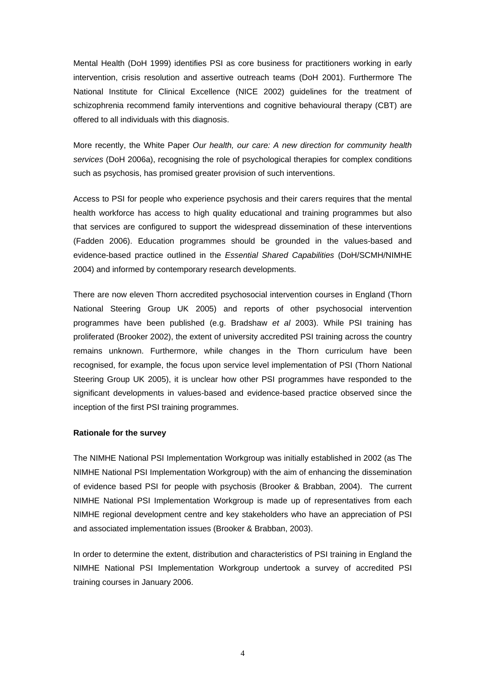Mental Health (DoH 1999) identifies PSI as core business for practitioners working in early intervention, crisis resolution and assertive outreach teams (DoH 2001). Furthermore The National Institute for Clinical Excellence (NICE 2002) guidelines for the treatment of schizophrenia recommend family interventions and cognitive behavioural therapy (CBT) are offered to all individuals with this diagnosis.

More recently, the White Paper *Our health, our care: A new direction for community health services* (DoH 2006a), recognising the role of psychological therapies for complex conditions such as psychosis, has promised greater provision of such interventions.

Access to PSI for people who experience psychosis and their carers requires that the mental health workforce has access to high quality educational and training programmes but also that services are configured to support the widespread dissemination of these interventions (Fadden 2006). Education programmes should be grounded in the values-based and evidence-based practice outlined in the *Essential Shared Capabilities* (DoH/SCMH/NIMHE 2004) and informed by contemporary research developments.

There are now eleven Thorn accredited psychosocial intervention courses in England (Thorn National Steering Group UK 2005) and reports of other psychosocial intervention programmes have been published (e.g. Bradshaw *et al* 2003). While PSI training has proliferated (Brooker 2002), the extent of university accredited PSI training across the country remains unknown. Furthermore, while changes in the Thorn curriculum have been recognised, for example, the focus upon service level implementation of PSI (Thorn National Steering Group UK 2005), it is unclear how other PSI programmes have responded to the significant developments in values-based and evidence-based practice observed since the inception of the first PSI training programmes.

## **Rationale for the survey**

The NIMHE National PSI Implementation Workgroup was initially established in 2002 (as The NIMHE National PSI Implementation Workgroup) with the aim of enhancing the dissemination of evidence based PSI for people with psychosis (Brooker & Brabban, 2004). The current NIMHE National PSI Implementation Workgroup is made up of representatives from each NIMHE regional development centre and key stakeholders who have an appreciation of PSI and associated implementation issues (Brooker & Brabban, 2003).

In order to determine the extent, distribution and characteristics of PSI training in England the NIMHE National PSI Implementation Workgroup undertook a survey of accredited PSI training courses in January 2006.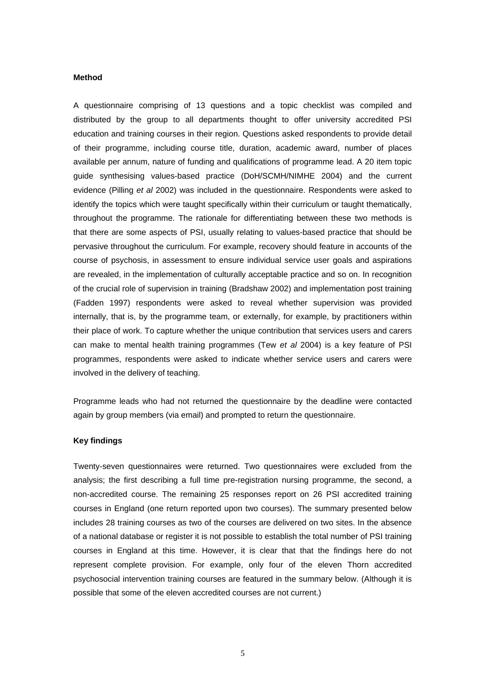#### **Method**

A questionnaire comprising of 13 questions and a topic checklist was compiled and distributed by the group to all departments thought to offer university accredited PSI education and training courses in their region. Questions asked respondents to provide detail of their programme, including course title, duration, academic award, number of places available per annum, nature of funding and qualifications of programme lead. A 20 item topic guide synthesising values-based practice (DoH/SCMH/NIMHE 2004) and the current evidence (Pilling *et al* 2002) was included in the questionnaire. Respondents were asked to identify the topics which were taught specifically within their curriculum or taught thematically, throughout the programme. The rationale for differentiating between these two methods is that there are some aspects of PSI, usually relating to values-based practice that should be pervasive throughout the curriculum. For example, recovery should feature in accounts of the course of psychosis, in assessment to ensure individual service user goals and aspirations are revealed, in the implementation of culturally acceptable practice and so on. In recognition of the crucial role of supervision in training (Bradshaw 2002) and implementation post training (Fadden 1997) respondents were asked to reveal whether supervision was provided internally, that is, by the programme team, or externally, for example, by practitioners within their place of work. To capture whether the unique contribution that services users and carers can make to mental health training programmes (Tew *et al* 2004) is a key feature of PSI programmes, respondents were asked to indicate whether service users and carers were involved in the delivery of teaching.

Programme leads who had not returned the questionnaire by the deadline were contacted again by group members (via email) and prompted to return the questionnaire.

#### **Key findings**

Twenty-seven questionnaires were returned. Two questionnaires were excluded from the analysis; the first describing a full time pre-registration nursing programme, the second, a non-accredited course. The remaining 25 responses report on 26 PSI accredited training courses in England (one return reported upon two courses). The summary presented below includes 28 training courses as two of the courses are delivered on two sites. In the absence of a national database or register it is not possible to establish the total number of PSI training courses in England at this time. However, it is clear that that the findings here do not represent complete provision. For example, only four of the eleven Thorn accredited psychosocial intervention training courses are featured in the summary below. (Although it is possible that some of the eleven accredited courses are not current.)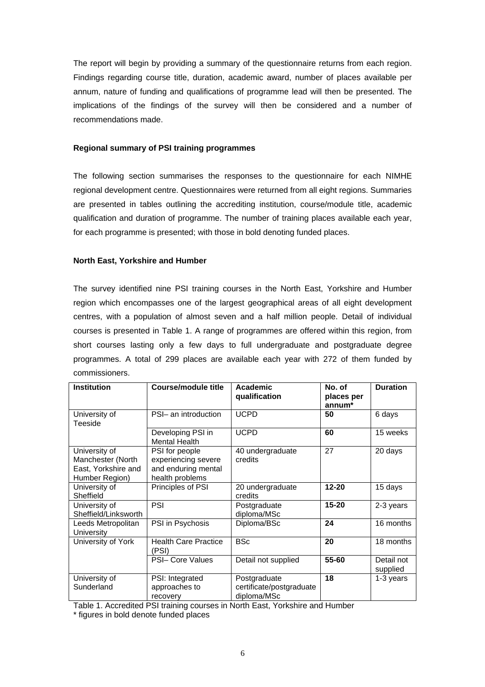The report will begin by providing a summary of the questionnaire returns from each region. Findings regarding course title, duration, academic award, number of places available per annum, nature of funding and qualifications of programme lead will then be presented. The implications of the findings of the survey will then be considered and a number of recommendations made.

## **Regional summary of PSI training programmes**

The following section summarises the responses to the questionnaire for each NIMHE regional development centre. Questionnaires were returned from all eight regions. Summaries are presented in tables outlining the accrediting institution, course/module title, academic qualification and duration of programme. The number of training places available each year, for each programme is presented; with those in bold denoting funded places.

## **North East, Yorkshire and Humber**

The survey identified nine PSI training courses in the North East, Yorkshire and Humber region which encompasses one of the largest geographical areas of all eight development centres, with a population of almost seven and a half million people. Detail of individual courses is presented in Table 1. A range of programmes are offered within this region, from short courses lasting only a few days to full undergraduate and postgraduate degree programmes. A total of 299 places are available each year with 272 of them funded by commissioners.

| <b>Institution</b>                                                          | Course/module title                                                             | Academic<br>qualification                               | No. of<br>places per<br>annum* | <b>Duration</b>        |
|-----------------------------------------------------------------------------|---------------------------------------------------------------------------------|---------------------------------------------------------|--------------------------------|------------------------|
| University of<br>Teeside                                                    | PSI- an introduction                                                            | <b>UCPD</b>                                             | 50                             | 6 days                 |
|                                                                             | Developing PSI in<br><b>Mental Health</b>                                       | <b>UCPD</b>                                             | 60                             | 15 weeks               |
| University of<br>Manchester (North<br>East, Yorkshire and<br>Humber Region) | PSI for people<br>experiencing severe<br>and enduring mental<br>health problems | 40 undergraduate<br>credits                             | 27                             | 20 days                |
| University of<br>Sheffield                                                  | Principles of PSI                                                               | 20 undergraduate<br>credits                             | $12 - 20$                      | 15 days                |
| University of<br>Sheffield/Linksworth                                       | <b>PSI</b>                                                                      | Postgraduate<br>diploma/MSc                             | $15 - 20$                      | 2-3 years              |
| Leeds Metropolitan<br>University                                            | PSI in Psychosis                                                                | Diploma/BSc                                             | 24                             | 16 months              |
| University of York                                                          | <b>Health Care Practice</b><br>(PSI)                                            | <b>BSc</b>                                              | 20                             | 18 months              |
|                                                                             | <b>PSI- Core Values</b>                                                         | Detail not supplied                                     | 55-60                          | Detail not<br>supplied |
| University of<br>Sunderland                                                 | PSI: Integrated<br>approaches to<br>recovery                                    | Postgraduate<br>certificate/postgraduate<br>diploma/MSc | 18                             | 1-3 years              |

Table 1. Accredited PSI training courses in North East, Yorkshire and Humber \* figures in bold denote funded places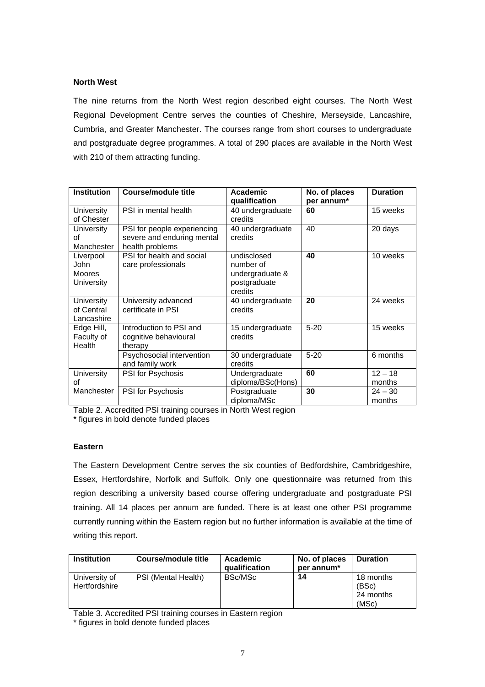## **North West**

The nine returns from the North West region described eight courses. The North West Regional Development Centre serves the counties of Cheshire, Merseyside, Lancashire, Cumbria, and Greater Manchester. The courses range from short courses to undergraduate and postgraduate degree programmes. A total of 290 places are available in the North West with 210 of them attracting funding.

| <b>Institution</b>                               | Course/module title                                                          | Academic<br>qualification                                              | No. of places<br>per annum* | <b>Duration</b>     |
|--------------------------------------------------|------------------------------------------------------------------------------|------------------------------------------------------------------------|-----------------------------|---------------------|
| University<br>of Chester                         | PSI in mental health                                                         | 40 undergraduate<br>credits                                            | 60                          | 15 weeks            |
| University<br>οf<br>Manchester                   | PSI for people experiencing<br>severe and enduring mental<br>health problems | 40 undergraduate<br>credits                                            | 40                          | 20 days             |
| Liverpool<br>John<br><b>Moores</b><br>University | PSI for health and social<br>care professionals                              | undisclosed<br>number of<br>undergraduate &<br>postgraduate<br>credits | 40                          | 10 weeks            |
| <b>University</b><br>of Central<br>Lancashire    | University advanced<br>certificate in PSI                                    | 40 undergraduate<br>credits                                            | 20                          | 24 weeks            |
| Edge Hill,<br>Faculty of<br>Health               | Introduction to PSI and<br>cognitive behavioural<br>therapy                  | 15 undergraduate<br>credits                                            | $5 - 20$                    | 15 weeks            |
|                                                  | Psychosocial intervention<br>and family work                                 | 30 undergraduate<br>credits                                            | $5 - 20$                    | 6 months            |
| University<br>Ωf                                 | PSI for Psychosis                                                            | Undergraduate<br>diploma/BSc(Hons)                                     | 60                          | $12 - 18$<br>months |
| Manchester                                       | PSI for Psychosis                                                            | Postgraduate<br>diploma/MSc                                            | 30                          | $24 - 30$<br>months |

Table 2. Accredited PSI training courses in North West region

\* figures in bold denote funded places

## **Eastern**

The Eastern Development Centre serves the six counties of Bedfordshire, Cambridgeshire, Essex, Hertfordshire, Norfolk and Suffolk. Only one questionnaire was returned from this region describing a university based course offering undergraduate and postgraduate PSI training. All 14 places per annum are funded. There is at least one other PSI programme currently running within the Eastern region but no further information is available at the time of writing this report.

| <b>Institution</b>             | Course/module title | Academic<br>qualification | No. of places<br>per annum <sup>*</sup> | <b>Duration</b>                          |
|--------------------------------|---------------------|---------------------------|-----------------------------------------|------------------------------------------|
| University of<br>Hertfordshire | PSI (Mental Health) | BSc/MSc                   | 14                                      | 18 months<br>(BSc)<br>24 months<br>(MSc) |

Table 3. Accredited PSI training courses in Eastern region

\* figures in bold denote funded places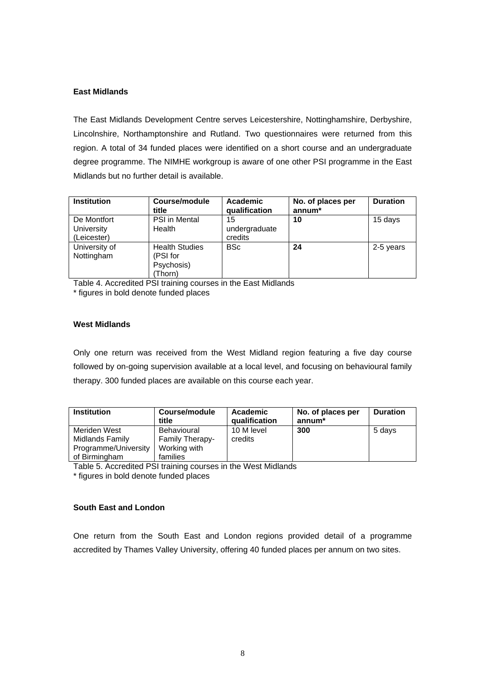## **East Midlands**

The East Midlands Development Centre serves Leicestershire, Nottinghamshire, Derbyshire, Lincolnshire, Northamptonshire and Rutland. Two questionnaires were returned from this region. A total of 34 funded places were identified on a short course and an undergraduate degree programme. The NIMHE workgroup is aware of one other PSI programme in the East Midlands but no further detail is available.

| <b>Institution</b>                       | Course/module<br>title                                     | Academic<br>qualification      | No. of places per<br>$annum*$ | <b>Duration</b> |
|------------------------------------------|------------------------------------------------------------|--------------------------------|-------------------------------|-----------------|
| De Montfort<br>University<br>(Leicester) | <b>PSI</b> in Mental<br>Health                             | 15<br>undergraduate<br>credits | 10                            | 15 days         |
| University of<br>Nottingham              | <b>Health Studies</b><br>(PSI for<br>Psychosis)<br>(Thorn) | <b>BSc</b>                     | 24                            | 2-5 years       |

Table 4. Accredited PSI training courses in the East Midlands

\* figures in bold denote funded places

## **West Midlands**

Only one return was received from the West Midland region featuring a five day course followed by on-going supervision available at a local level, and focusing on behavioural family therapy. 300 funded places are available on this course each year.

| <b>Institution</b>   | Course/module<br>title | Academic<br>qualification | No. of places per<br>annum* | <b>Duration</b> |
|----------------------|------------------------|---------------------------|-----------------------------|-----------------|
| Meriden West         | Behavioural            | 10 M level                | 300                         | 5 days          |
| Midlands Family      | <b>Family Therapy-</b> | credits                   |                             |                 |
| Programme/University | Working with           |                           |                             |                 |
| of Birmingham        | families               |                           |                             |                 |

Table 5. Accredited PSI training courses in the West Midlands

\* figures in bold denote funded places

## **South East and London**

One return from the South East and London regions provided detail of a programme accredited by Thames Valley University, offering 40 funded places per annum on two sites.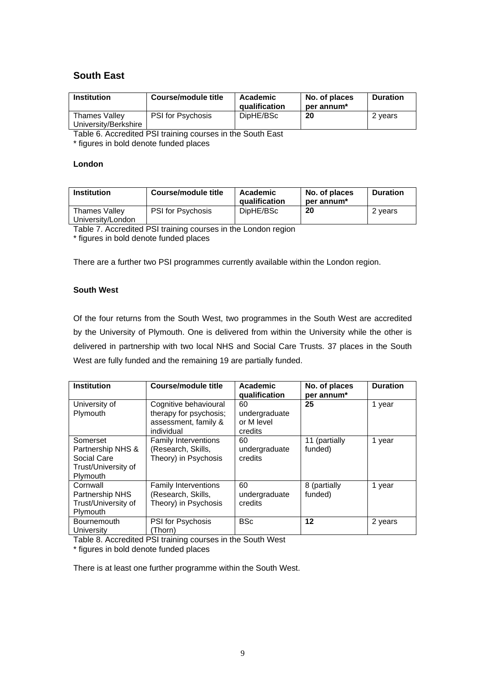# **South East**

| <b>Institution</b>                    | Course/module title      | Academic<br>qualification | No. of places<br>per annum* | <b>Duration</b> |
|---------------------------------------|--------------------------|---------------------------|-----------------------------|-----------------|
| Thames Valley<br>University/Berkshire | <b>PSI</b> for Psychosis | DipHE/BSc                 | 20                          | 2 vears         |

Table 6. Accredited PSI training courses in the South East

\* figures in bold denote funded places

# **London**

| <b>Institution</b>                        | Course/module title      | Academic<br><b>qualification</b> | No. of places<br>per annum* | Duration |
|-------------------------------------------|--------------------------|----------------------------------|-----------------------------|----------|
| <b>Thames Valley</b><br>University/London | <b>PSI</b> for Psychosis | DipHE/BSc                        | 20                          | 2 years  |

Table 7. Accredited PSI training courses in the London region

\* figures in bold denote funded places

There are a further two PSI programmes currently available within the London region.

# **South West**

Of the four returns from the South West, two programmes in the South West are accredited by the University of Plymouth. One is delivered from within the University while the other is delivered in partnership with two local NHS and Social Care Trusts. 37 places in the South West are fully funded and the remaining 19 are partially funded.

| <b>Institution</b>                                                              | Course/module title                                                                   | Academic<br>qualification                    | No. of places<br>per annum <sup>*</sup> | <b>Duration</b> |
|---------------------------------------------------------------------------------|---------------------------------------------------------------------------------------|----------------------------------------------|-----------------------------------------|-----------------|
| University of<br>Plymouth                                                       | Cognitive behavioural<br>therapy for psychosis;<br>assessment, family &<br>individual | 60<br>undergraduate<br>or M level<br>credits | 25                                      | 1 year          |
| Somerset<br>Partnership NHS &<br>Social Care<br>Trust/University of<br>Plymouth | <b>Family Interventions</b><br>(Research, Skills,<br>Theory) in Psychosis             | 60<br>undergraduate<br>credits               | 11 (partially<br>funded)                | 1 year          |
| Cornwall<br>Partnership NHS<br>Trust/University of<br>Plymouth                  | <b>Family Interventions</b><br>(Research, Skills,<br>Theory) in Psychosis             | 60<br>undergraduate<br>credits               | 8 (partially<br>funded)                 | 1 year          |
| <b>Bournemouth</b><br>University                                                | PSI for Psychosis<br>(Thorn)                                                          | <b>BSc</b>                                   | $12 \,$                                 | 2 years         |

Table 8. Accredited PSI training courses in the South West

\* figures in bold denote funded places

There is at least one further programme within the South West.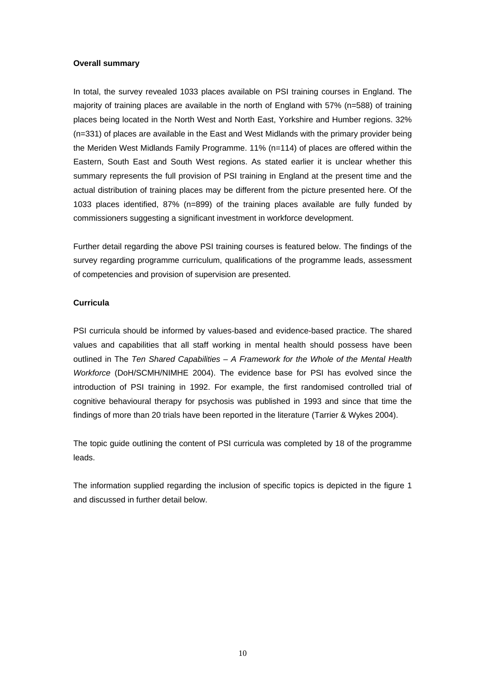## **Overall summary**

In total, the survey revealed 1033 places available on PSI training courses in England. The majority of training places are available in the north of England with 57% (n=588) of training places being located in the North West and North East, Yorkshire and Humber regions. 32% (n=331) of places are available in the East and West Midlands with the primary provider being the Meriden West Midlands Family Programme. 11% (n=114) of places are offered within the Eastern, South East and South West regions. As stated earlier it is unclear whether this summary represents the full provision of PSI training in England at the present time and the actual distribution of training places may be different from the picture presented here. Of the 1033 places identified, 87% (n=899) of the training places available are fully funded by commissioners suggesting a significant investment in workforce development.

Further detail regarding the above PSI training courses is featured below. The findings of the survey regarding programme curriculum, qualifications of the programme leads, assessment of competencies and provision of supervision are presented.

# **Curricula**

PSI curricula should be informed by values-based and evidence-based practice. The shared values and capabilities that all staff working in mental health should possess have been outlined in The *Ten Shared Capabilities – A Framework for the Whole of the Mental Health Workforce* (DoH/SCMH/NIMHE 2004). The evidence base for PSI has evolved since the introduction of PSI training in 1992. For example, the first randomised controlled trial of cognitive behavioural therapy for psychosis was published in 1993 and since that time the findings of more than 20 trials have been reported in the literature (Tarrier & Wykes 2004).

The topic guide outlining the content of PSI curricula was completed by 18 of the programme leads.

The information supplied regarding the inclusion of specific topics is depicted in the figure 1 and discussed in further detail below.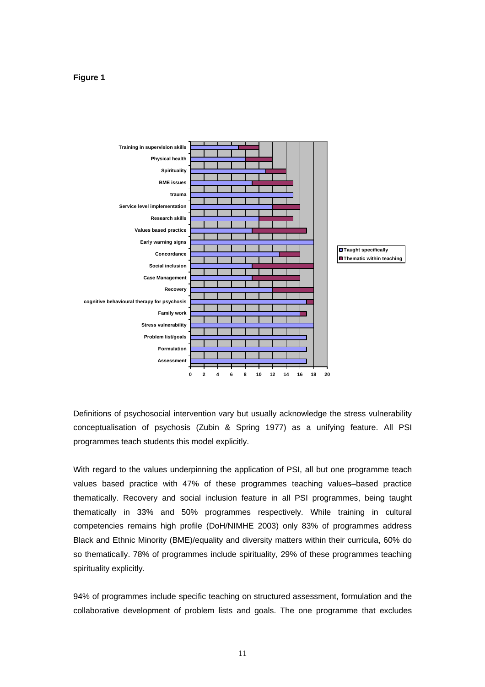## **Figure 1**



Definitions of psychosocial intervention vary but usually acknowledge the stress vulnerability conceptualisation of psychosis (Zubin & Spring 1977) as a unifying feature. All PSI programmes teach students this model explicitly.

With regard to the values underpinning the application of PSI, all but one programme teach values based practice with 47% of these programmes teaching values–based practice thematically. Recovery and social inclusion feature in all PSI programmes, being taught thematically in 33% and 50% programmes respectively. While training in cultural competencies remains high profile (DoH/NIMHE 2003) only 83% of programmes address Black and Ethnic Minority (BME)/equality and diversity matters within their curricula, 60% do so thematically. 78% of programmes include spirituality, 29% of these programmes teaching spirituality explicitly.

94% of programmes include specific teaching on structured assessment, formulation and the collaborative development of problem lists and goals. The one programme that excludes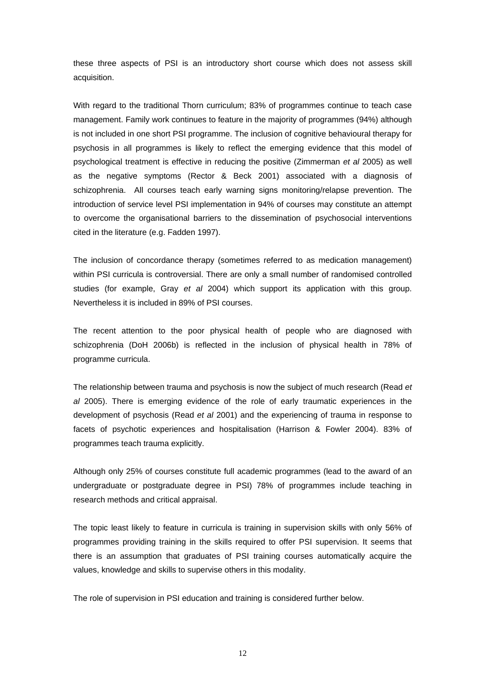these three aspects of PSI is an introductory short course which does not assess skill acquisition.

With regard to the traditional Thorn curriculum; 83% of programmes continue to teach case management. Family work continues to feature in the majority of programmes (94%) although is not included in one short PSI programme. The inclusion of cognitive behavioural therapy for psychosis in all programmes is likely to reflect the emerging evidence that this model of psychological treatment is effective in reducing the positive (Zimmerman *et al* 2005) as well as the negative symptoms (Rector & Beck 2001) associated with a diagnosis of schizophrenia. All courses teach early warning signs monitoring/relapse prevention. The introduction of service level PSI implementation in 94% of courses may constitute an attempt to overcome the organisational barriers to the dissemination of psychosocial interventions cited in the literature (e.g. Fadden 1997).

The inclusion of concordance therapy (sometimes referred to as medication management) within PSI curricula is controversial. There are only a small number of randomised controlled studies (for example, Gray *et al* 2004) which support its application with this group. Nevertheless it is included in 89% of PSI courses.

The recent attention to the poor physical health of people who are diagnosed with schizophrenia (DoH 2006b) is reflected in the inclusion of physical health in 78% of programme curricula.

The relationship between trauma and psychosis is now the subject of much research (Read *et al* 2005). There is emerging evidence of the role of early traumatic experiences in the development of psychosis (Read *et al* 2001) and the experiencing of trauma in response to facets of psychotic experiences and hospitalisation (Harrison & Fowler 2004). 83% of programmes teach trauma explicitly.

Although only 25% of courses constitute full academic programmes (lead to the award of an undergraduate or postgraduate degree in PSI) 78% of programmes include teaching in research methods and critical appraisal.

The topic least likely to feature in curricula is training in supervision skills with only 56% of programmes providing training in the skills required to offer PSI supervision. It seems that there is an assumption that graduates of PSI training courses automatically acquire the values, knowledge and skills to supervise others in this modality.

The role of supervision in PSI education and training is considered further below.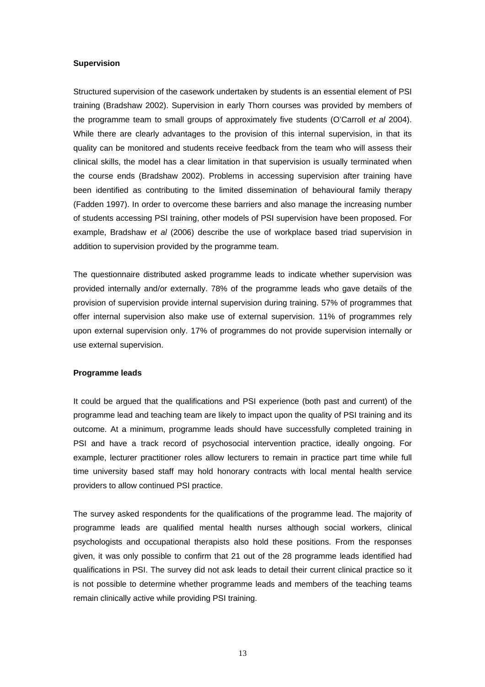## **Supervision**

Structured supervision of the casework undertaken by students is an essential element of PSI training (Bradshaw 2002). Supervision in early Thorn courses was provided by members of the programme team to small groups of approximately five students (O'Carroll *et al* 2004). While there are clearly advantages to the provision of this internal supervision, in that its quality can be monitored and students receive feedback from the team who will assess their clinical skills, the model has a clear limitation in that supervision is usually terminated when the course ends (Bradshaw 2002). Problems in accessing supervision after training have been identified as contributing to the limited dissemination of behavioural family therapy (Fadden 1997). In order to overcome these barriers and also manage the increasing number of students accessing PSI training, other models of PSI supervision have been proposed. For example, Bradshaw *et al* (2006) describe the use of workplace based triad supervision in addition to supervision provided by the programme team.

The questionnaire distributed asked programme leads to indicate whether supervision was provided internally and/or externally. 78% of the programme leads who gave details of the provision of supervision provide internal supervision during training. 57% of programmes that offer internal supervision also make use of external supervision. 11% of programmes rely upon external supervision only. 17% of programmes do not provide supervision internally or use external supervision.

## **Programme leads**

It could be argued that the qualifications and PSI experience (both past and current) of the programme lead and teaching team are likely to impact upon the quality of PSI training and its outcome. At a minimum, programme leads should have successfully completed training in PSI and have a track record of psychosocial intervention practice, ideally ongoing. For example, lecturer practitioner roles allow lecturers to remain in practice part time while full time university based staff may hold honorary contracts with local mental health service providers to allow continued PSI practice.

The survey asked respondents for the qualifications of the programme lead. The majority of programme leads are qualified mental health nurses although social workers, clinical psychologists and occupational therapists also hold these positions. From the responses given, it was only possible to confirm that 21 out of the 28 programme leads identified had qualifications in PSI. The survey did not ask leads to detail their current clinical practice so it is not possible to determine whether programme leads and members of the teaching teams remain clinically active while providing PSI training.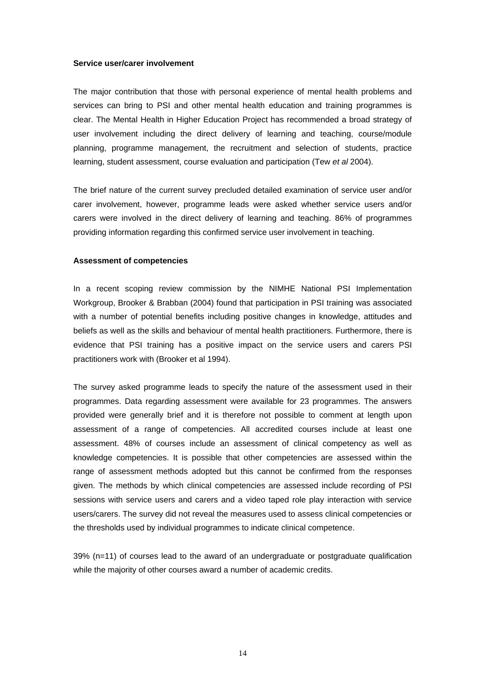#### **Service user/carer involvement**

The major contribution that those with personal experience of mental health problems and services can bring to PSI and other mental health education and training programmes is clear. The Mental Health in Higher Education Project has recommended a broad strategy of user involvement including the direct delivery of learning and teaching, course/module planning, programme management, the recruitment and selection of students, practice learning, student assessment, course evaluation and participation (Tew *et al* 2004).

The brief nature of the current survey precluded detailed examination of service user and/or carer involvement, however, programme leads were asked whether service users and/or carers were involved in the direct delivery of learning and teaching. 86% of programmes providing information regarding this confirmed service user involvement in teaching.

#### **Assessment of competencies**

In a recent scoping review commission by the NIMHE National PSI Implementation Workgroup, Brooker & Brabban (2004) found that participation in PSI training was associated with a number of potential benefits including positive changes in knowledge, attitudes and beliefs as well as the skills and behaviour of mental health practitioners. Furthermore, there is evidence that PSI training has a positive impact on the service users and carers PSI practitioners work with (Brooker et al 1994).

The survey asked programme leads to specify the nature of the assessment used in their programmes. Data regarding assessment were available for 23 programmes. The answers provided were generally brief and it is therefore not possible to comment at length upon assessment of a range of competencies. All accredited courses include at least one assessment. 48% of courses include an assessment of clinical competency as well as knowledge competencies. It is possible that other competencies are assessed within the range of assessment methods adopted but this cannot be confirmed from the responses given. The methods by which clinical competencies are assessed include recording of PSI sessions with service users and carers and a video taped role play interaction with service users/carers. The survey did not reveal the measures used to assess clinical competencies or the thresholds used by individual programmes to indicate clinical competence.

39% (n=11) of courses lead to the award of an undergraduate or postgraduate qualification while the majority of other courses award a number of academic credits.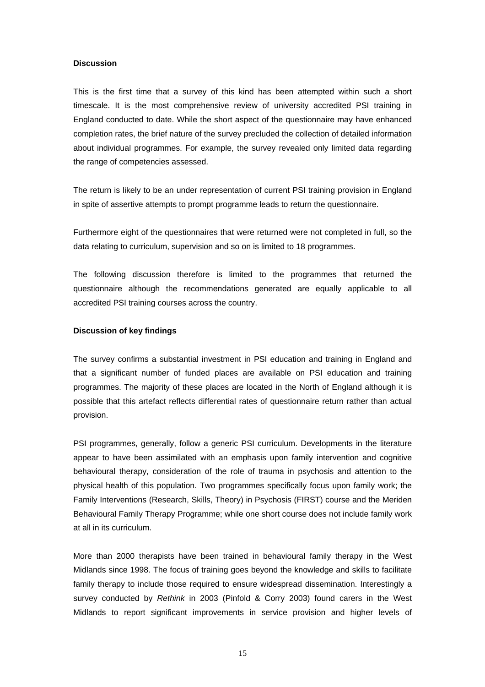## **Discussion**

This is the first time that a survey of this kind has been attempted within such a short timescale. It is the most comprehensive review of university accredited PSI training in England conducted to date. While the short aspect of the questionnaire may have enhanced completion rates, the brief nature of the survey precluded the collection of detailed information about individual programmes. For example, the survey revealed only limited data regarding the range of competencies assessed.

The return is likely to be an under representation of current PSI training provision in England in spite of assertive attempts to prompt programme leads to return the questionnaire.

Furthermore eight of the questionnaires that were returned were not completed in full, so the data relating to curriculum, supervision and so on is limited to 18 programmes.

The following discussion therefore is limited to the programmes that returned the questionnaire although the recommendations generated are equally applicable to all accredited PSI training courses across the country.

#### **Discussion of key findings**

The survey confirms a substantial investment in PSI education and training in England and that a significant number of funded places are available on PSI education and training programmes. The majority of these places are located in the North of England although it is possible that this artefact reflects differential rates of questionnaire return rather than actual provision.

PSI programmes, generally, follow a generic PSI curriculum. Developments in the literature appear to have been assimilated with an emphasis upon family intervention and cognitive behavioural therapy, consideration of the role of trauma in psychosis and attention to the physical health of this population. Two programmes specifically focus upon family work; the Family Interventions (Research, Skills, Theory) in Psychosis (FIRST) course and the Meriden Behavioural Family Therapy Programme; while one short course does not include family work at all in its curriculum.

More than 2000 therapists have been trained in behavioural family therapy in the West Midlands since 1998. The focus of training goes beyond the knowledge and skills to facilitate family therapy to include those required to ensure widespread dissemination. Interestingly a survey conducted by *Rethink* in 2003 (Pinfold & Corry 2003) found carers in the West Midlands to report significant improvements in service provision and higher levels of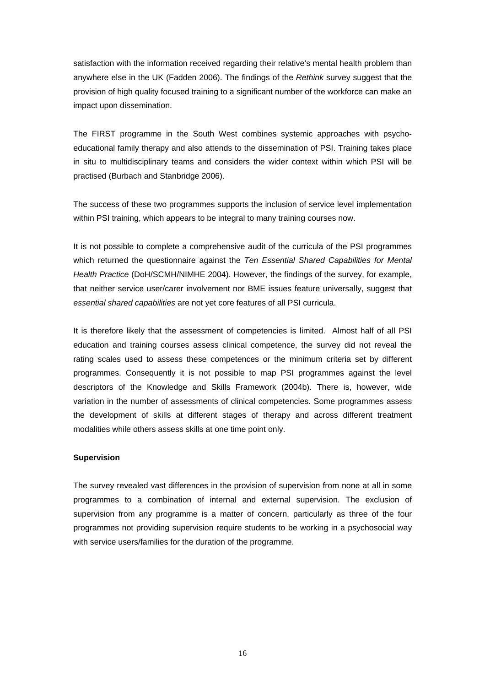satisfaction with the information received regarding their relative's mental health problem than anywhere else in the UK (Fadden 2006). The findings of the *Rethink* survey suggest that the provision of high quality focused training to a significant number of the workforce can make an impact upon dissemination.

The FIRST programme in the South West combines systemic approaches with psychoeducational family therapy and also attends to the dissemination of PSI. Training takes place in situ to multidisciplinary teams and considers the wider context within which PSI will be practised (Burbach and Stanbridge 2006).

The success of these two programmes supports the inclusion of service level implementation within PSI training, which appears to be integral to many training courses now.

It is not possible to complete a comprehensive audit of the curricula of the PSI programmes which returned the questionnaire against the *Ten Essential Shared Capabilities for Mental Health Practice* (DoH/SCMH/NIMHE 2004). However, the findings of the survey, for example, that neither service user/carer involvement nor BME issues feature universally, suggest that *essential shared capabilities* are not yet core features of all PSI curricula.

It is therefore likely that the assessment of competencies is limited. Almost half of all PSI education and training courses assess clinical competence, the survey did not reveal the rating scales used to assess these competences or the minimum criteria set by different programmes. Consequently it is not possible to map PSI programmes against the level descriptors of the Knowledge and Skills Framework (2004b). There is, however, wide variation in the number of assessments of clinical competencies. Some programmes assess the development of skills at different stages of therapy and across different treatment modalities while others assess skills at one time point only.

## **Supervision**

The survey revealed vast differences in the provision of supervision from none at all in some programmes to a combination of internal and external supervision. The exclusion of supervision from any programme is a matter of concern, particularly as three of the four programmes not providing supervision require students to be working in a psychosocial way with service users/families for the duration of the programme.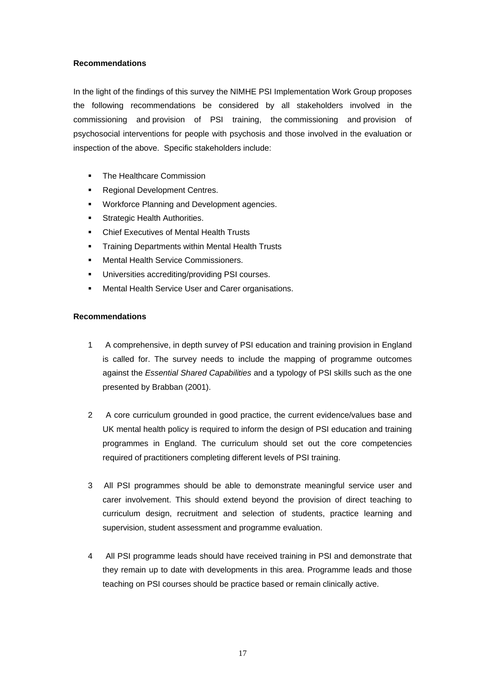# **Recommendations**

In the light of the findings of this survey the NIMHE PSI Implementation Work Group proposes the following recommendations be considered by all stakeholders involved in the commissioning and provision of PSI training, the commissioning and provision of psychosocial interventions for people with psychosis and those involved in the evaluation or inspection of the above. Specific stakeholders include:

- The Healthcare Commission
- Regional Development Centres.
- Workforce Planning and Development agencies.
- Strategic Health Authorities.
- **EXECUTER EXECUTIVES OF Mental Health Trusts**
- Training Departments within Mental Health Trusts
- Mental Health Service Commissioners.
- Universities accrediting/providing PSI courses.
- Mental Health Service User and Carer organisations.

# **Recommendations**

- 1 A comprehensive, in depth survey of PSI education and training provision in England is called for. The survey needs to include the mapping of programme outcomes against the *Essential Shared Capabilities* and a typology of PSI skills such as the one presented by Brabban (2001).
- 2 A core curriculum grounded in good practice, the current evidence/values base and UK mental health policy is required to inform the design of PSI education and training programmes in England. The curriculum should set out the core competencies required of practitioners completing different levels of PSI training.
- 3 All PSI programmes should be able to demonstrate meaningful service user and carer involvement. This should extend beyond the provision of direct teaching to curriculum design, recruitment and selection of students, practice learning and supervision, student assessment and programme evaluation.
- 4 All PSI programme leads should have received training in PSI and demonstrate that they remain up to date with developments in this area. Programme leads and those teaching on PSI courses should be practice based or remain clinically active.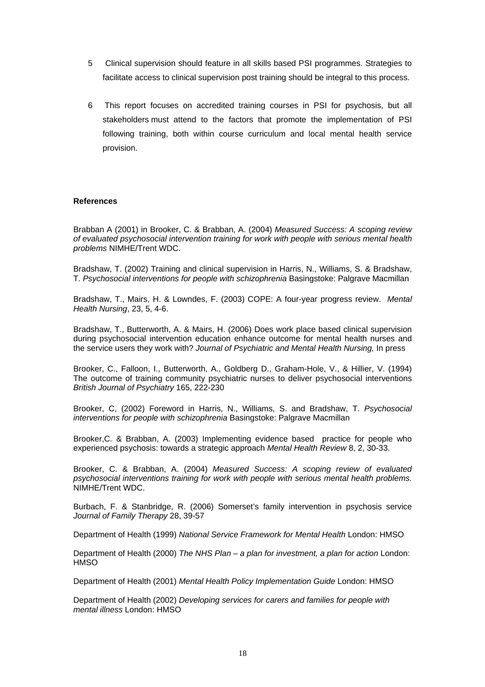- 5 Clinical supervision should feature in all skills based PSI programmes. Strategies to facilitate access to clinical supervision post training should be integral to this process.
- 6 This report focuses on accredited training courses in PSI for psychosis, but all stakeholders must attend to the factors that promote the implementation of PSI following training, both within course curriculum and local mental health service provision.

## **References**

Brabban A (2001) in Brooker, C. & Brabban, A. (2004) *Measured Success: A scoping review of evaluated psychosocial intervention training for work with people with serious mental health problems* NIMHE/Trent WDC.

Bradshaw, T. (2002) Training and clinical supervision in Harris, N., Williams, S. & Bradshaw, T. *Psychosocial interventions for people with schizophrenia* Basingstoke: Palgrave Macmillan

Bradshaw, T., Mairs, H. & Lowndes, F. (2003) COPE: A four-year progress review. *Mental Health Nursing*, 23, 5, 4-6.

Bradshaw, T., Butterworth, A. & Mairs, H. (2006) Does work place based clinical supervision during psychosocial intervention education enhance outcome for mental health nurses and the service users they work with? *Journal of Psychiatric and Mental Health Nursing,* In press

Brooker, C., Falloon, I., Butterworth, A., Goldberg D., Graham-Hole, V., & Hillier, V. (1994) The outcome of training community psychiatric nurses to deliver psychosocial interventions *British Journal of Psychiatry* 165, 222-230

Brooker, C, (2002) Foreword in Harris, N., Williams, S. and Bradshaw, T. *Psychosocial interventions for people with schizophrenia* Basingstoke: Palgrave Macmillan

Brooker,C. & Brabban, A. (2003) Implementing evidence based practice for people who experienced psychosis: towards a strategic approach *Mental Health Review* 8, 2, 30-33.

Brooker, C. & Brabban, A. (2004) *Measured Success: A scoping review of evaluated psychosocial interventions training for work with people with serious mental health problems.*  NIMHE/Trent WDC.

Burbach, F. & Stanbridge, R. (2006) Somerset's family intervention in psychosis service *Journal of Family Therapy* 28, 39-57

Department of Health (1999) *National Service Framework for Mental Health* London: HMSO

Department of Health (2000) *The NHS Plan – a plan for investment, a plan for action* London: **HMSO** 

Department of Health (2001) *Mental Health Policy Implementation Guide* London: HMSO

Department of Health (2002) *Developing services for carers and families for people with mental illness* London: HMSO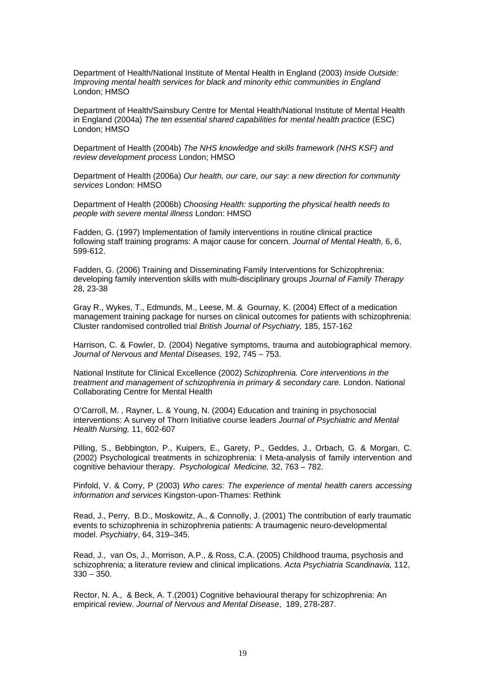Department of Health/National Institute of Mental Health in England (2003) *Inside Outside: Improving mental health services for black and minority ethic communities in England*  London; HMSO

Department of Health/Sainsbury Centre for Mental Health/National Institute of Mental Health in England (2004a) *The ten essential shared capabilities for mental health practice* (ESC) London; HMSO

Department of Health (2004b) *The NHS knowledge and skills framework (NHS KSF) and review development process* London; HMSO

Department of Health (2006a) *Our health, our care, our say: a new direction for community services* London: HMSO

Department of Health (2006b) *Choosing Health: supporting the physical health needs to people with severe mental illness* London: HMSO

Fadden, G. (1997) Implementation of family interventions in routine clinical practice following staff training programs: A major cause for concern. *Journal of Mental Health,* 6, 6, 599-612.

Fadden, G. (2006) Training and Disseminating Family Interventions for Schizophrenia: developing family intervention skills with multi-disciplinary groups *Journal of Family Therapy* 28, 23-38

Gray R., Wykes, T., Edmunds, M., Leese, M. & Gournay, K. (2004) Effect of a medication management training package for nurses on clinical outcomes for patients with schizophrenia: Cluster randomised controlled trial *British Journal of Psychiatry,* 185, 157-162

Harrison, C. & Fowler, D. (2004) Negative symptoms, trauma and autobiographical memory. *Journal of Nervous and Mental Diseases,* 192, 745 – 753.

National Institute for Clinical Excellence (2002) *Schizophrenia. Core interventions in the treatment and management of schizophrenia in primary & secondary care.* London. National Collaborating Centre for Mental Health

O'Carroll, M. , Rayner, L. & Young, N. (2004) Education and training in psychosocial interventions: A survey of Thorn Initiative course leaders *Journal of Psychiatric and Mental Health Nursing,* 11, 602-607

Pilling, S., Bebbington, P., Kuipers, E., Garety, P., Geddes, J., Orbach, G. & Morgan, C. (2002) Psychological treatments in schizophrenia: I Meta-analysis of family intervention and cognitive behaviour therapy. *Psychological Medicine,* 32, 763 – 782.

Pinfold, V. & Corry, P (2003) *Who cares: The experience of mental health carers accessing information and services* Kingston-upon-Thames: Rethink

Read, J., Perry, B.D., Moskowitz, A., & Connolly, J. (2001) The contribution of early traumatic events to schizophrenia in schizophrenia patients: A traumagenic neuro-developmental model. *Psychiatry*, 64, 319–345.

Read, J., van Os, J., Morrison, A.P., & Ross, C.A. (2005) Childhood trauma, psychosis and schizophrenia; a literature review and clinical implications. *Acta Psychiatria Scandinavia,* 112, 330 – 350.

Rector, N. A., & Beck, A. T.(2001) Cognitive behavioural therapy for schizophrenia: An empirical review. *Journal of Nervous and Mental Disease*, 189, 278-287.